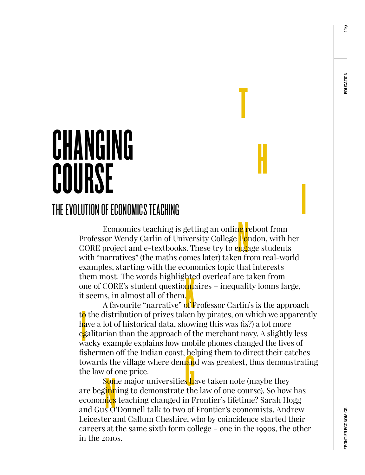119

# CHANGING COURSE

### THE EVOLUTION OF ECONOMICS TEACHING

ne r<br>Loi<br>ng:<br>n fr hte<br>nn:<br>of <mark>F</mark> Economics teaching is getting an onlin<mark>e r</mark>eboot from Professor Wendy Carlin of University College London, with her CORE project and e-textbooks. These try to engage students with "narratives" (the maths comes later) taken from real-world examples, starting with the economics topic that interests them most. The words highlighted overleaf are taken from one of CORE's student questio<mark>nn</mark>aires – inequality looms large, it seems, in almost all of them.

T

H

**International Contract Contract Contract Contract Contract Contract Contract Contract Contract Contract Contract Contract Contract Contract Contract Contract Contract Contract Contract Contract Contract Contract Contract** 

 $\frac{1}{2}$ A favourite "narrative" of Professor Carlin's is the approach to the distribution of prizes taken by pirates, on which we apparently have a lot of historical data, showing this was (is?) a lot more egalitarian than the approach of the merchant navy. A slightly less wacky example explains how mobile phones changed the lives of fishermen off the Indian coast, helping them to direct their catches towards the village where demand was greatest, thus demonstrating the law of one price.

en off the Indian coast, he<br>s the village where dem<mark>an</mark><br>of one price.<br>Some major universities he<br>inning to demonstrate the<br>ics teaching changed in F<br>o'Donnell talk to two of S<mark>om</mark>e major universities <mark>h</mark>ave taken note (maybe they ) are beginning to demonstrate the law of one course). So how has economics teaching changed in Frontier's lifetime? Sarah Hogg and Gus O'Donnell talk to two of Frontier's economists, Andrew Leicester and Callum Cheshire, who by coincidence started their careers at the same sixth form college – one in the 1990s, the other in the 2010s.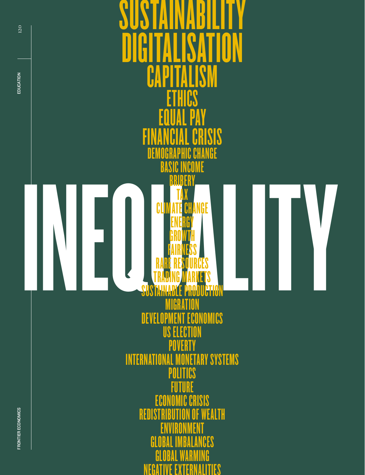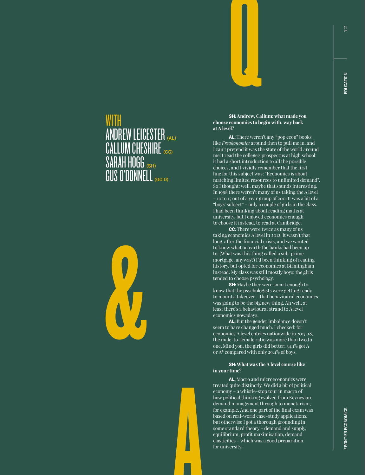## ANDREW LEICESTER (AL)  $\mathsf{CALLUM }$  CHESHIRE  $_{\tiny{\textrm{\tiny{CC}}}}$ SARAH HOGG (SH) GUS O'DONNELL (GO'D)

A



WITH

SH: **Andrew, Callum: what made you choose economics to begin with, way back at A level?**

Q

AL: There weren't any "pop econ" books like *Freakonomics* around then to pull me in, and I can't pretend it was the state of the world around me! I read the college's prospectus at high school: it had a short introduction to all the possible choices, and I vividly remember that the first line for this subject was: "Economics is about matching limited resources to unlimited demand". So I thought: well, maybe that sounds interesting. In 1998 there weren't many of us taking the A level – 10 to 15 out of a year group of 200. It was a bit of a "boys' subject" – only a couple of girls in the class. I had been thinking about reading maths at university, but I enjoyed economics enough to choose it instead, to read at Cambridge.

**CC:** There were twice as many of us taking economics A level in 2012. It wasn't that long after the financial crisis, and we wanted to know what on earth the banks had been up to. (What was this thing called a sub-prime mortgage, anyway?) I'd been thinking of reading history, but opted for economics at Birmingham instead. My class was still mostly boys; the girls tended to choose psychology.

**SH:** Maybe they were smart enough to know that the psychologists were getting ready to mount a takeover – that behavioural economics was going to be the big new thing. Ah well, at least there's a behavioural strand to A level economics nowadays.

AL: But the gender imbalance doesn't seem to have changed much. I checked: for economics A level entries nationwide in 2017-18, the male-to-female ratio was more than two to one. Mind you, the girls did better: 34.1% got A or A\* compared with only 29.4% of boys.

#### SH: **What was the A level course like in your time?**

AL: Macro and microeconomics were treated quite distinctly. We did a bit of political economy – a whistle-stop tour in macro of how political thinking evolved from Keynesian demand management through to monetarism, for example. And one part of the final exam was based on real-world case-study applications, but otherwise I got a thorough grounding in some standard theory – demand and supply, equilibrium, profit maximisation, demand elasticities – which was a good preparation for university.

121